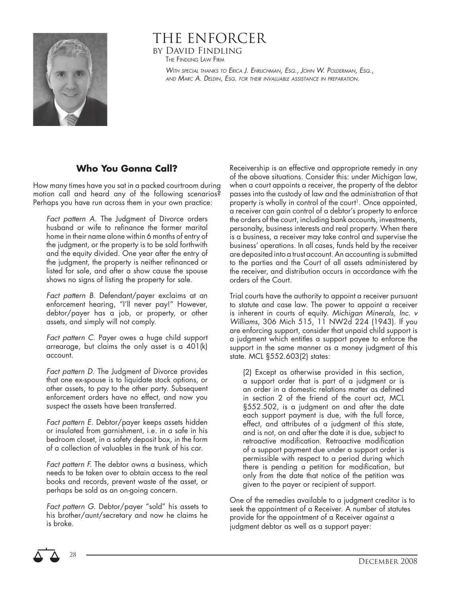

## THE ENFORCER by David Findling THE FINDLING LAW FIRM

WITH SPECIAL THANKS TO ERICA J. EHRLICHMAN, ESQ., JOHN W. POLDERMAN, ESQ., AND MARC A. DELDIN, ESQ. FOR THEIR INVALUABLE ASSISTANCE IN PREPARATION.

## **Who You Gonna Call?**

How many times have you sat in a packed courtroom during motion call and heard any of the following scenarios? Perhaps you have run across them in your own practice:

Fact pattern A. The Judgment of Divorce orders husband or wife to refinance the former marital home in their name alone within 6 months of entry of the judgment, or the property is to be sold forthwith and the equity divided. One year after the entry of the judgment, the property is neither refinanced or listed for sale, and after a show cause the spouse shows no signs of listing the property for sale.

Fact pattern B. Defendant/payer exclaims at an enforcement hearing, "I'll never pay!" However, debtor/payer has a job, or property, or other assets, and simply will not comply.

Fact pattern C. Payer owes a huge child support arrearage, but claims the only asset is a 401(k) account.

Fact pattern D. The Judgment of Divorce provides that one ex-spouse is to liquidate stock options, or other assets, to pay to the other party. Subsequent enforcement orders have no effect, and now you suspect the assets have been transferred.

Fact pattern E. Debtor/payer keeps assets hidden or insulated from garnishment, i.e. in a safe in his bedroom closet, in a safety deposit box, in the form of a collection of valuables in the trunk of his car.

Fact pattern F. The debtor owns a business, which needs to be taken over to obtain access to the real books and records, prevent waste of the asset, or perhaps be sold as an on-going concern.

Fact pattern G. Debtor/payer "sold" his assets to his brother/aunt/secretary and now he claims he is broke.

Receivership is an effective and appropriate remedy in any of the above situations. Consider this: under Michigan law, when a court appoints a receiver, the property of the debtor passes into the custody of law and the administration of that property is wholly in control of the court<sup>1</sup>. Once appointed, a receiver can gain control of a debtor's property to enforce the orders of the court, including bank accounts, investments, personalty, business interests and real property. When there is a business, a receiver may take control and supervise the business' operations. In all cases, funds held by the receiver are deposited into a trust account. An accounting is submitted to the parties and the Court of all assets administered by the receiver, and distribution occurs in accordance with the orders of the Court.

Trial courts have the authority to appoint a receiver pursuant to statute and case law. The power to appoint a receiver is inherent in courts of equity. Michigan Minerals, Inc. v Williams, 306 Mich 515, 11 NW2d 224 (1943). If you are enforcing support, consider that unpaid child support is a judgment which entitles a support payee to enforce the support in the same manner as a money judgment of this state. MCL §552.603(2) states:

(2) Except as otherwise provided in this section, a support order that is part of a judgment or is an order in a domestic relations matter as defined in section 2 of the friend of the court act, MCL §552.502, is a judgment on and after the date each support payment is due, with the full force, effect, and attributes of a judgment of this state, and is not, on and after the date it is due, subject to retroactive modification. Retroactive modification of a support payment due under a support order is permissible with respect to a period during which there is pending a petition for modification, but only from the date that notice of the petition was given to the payer or recipient of support.

One of the remedies available to a judgment creditor is to seek the appointment of a Receiver. A number of statutes provide for the appointment of a Receiver against a judgment debtor as well as a support payer:



28